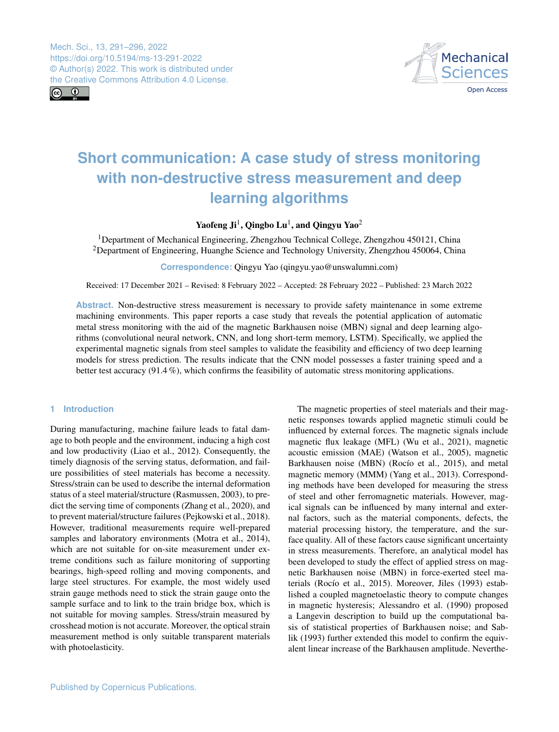$\boxed{6}$ 



# **Short communication: A case study of stress monitoring with non-destructive stress measurement and deep learning algorithms**

Yaofeng Ji<sup>[1](#page-0-0)</sup>, Qingbo Lu<sup>1</sup>, and Qingyu Yao<sup>[2](#page-0-0)</sup>

<sup>1</sup>Department of Mechanical Engineering, Zhengzhou Technical College, Zhengzhou 450121, China <sup>2</sup>Department of Engineering, Huanghe Science and Technology University, Zhengzhou 450064, China

**Correspondence:** Qingyu Yao (qingyu.yao@unswalumni.com)

Received: 17 December 2021 – Revised: 8 February 2022 – Accepted: 28 February 2022 – Published: 23 March 2022

**Abstract.** Non-destructive stress measurement is necessary to provide safety maintenance in some extreme machining environments. This paper reports a case study that reveals the potential application of automatic metal stress monitoring with the aid of the magnetic Barkhausen noise (MBN) signal and deep learning algorithms (convolutional neural network, CNN, and long short-term memory, LSTM). Specifically, we applied the experimental magnetic signals from steel samples to validate the feasibility and efficiency of two deep learning models for stress prediction. The results indicate that the CNN model possesses a faster training speed and a better test accuracy (91.4 %), which confirms the feasibility of automatic stress monitoring applications.

# <span id="page-0-0"></span>**1 Introduction**

During manufacturing, machine failure leads to fatal damage to both people and the environment, inducing a high cost and low productivity (Liao et al., 2012). Consequently, the timely diagnosis of the serving status, deformation, and failure possibilities of steel materials has become a necessity. Stress/strain can be used to describe the internal deformation status of a steel material/structure (Rasmussen, 2003), to predict the serving time of components (Zhang et al., 2020), and to prevent material/structure failures (Pejkowski et al., 2018). However, traditional measurements require well-prepared samples and laboratory environments (Motra et al., 2014), which are not suitable for on-site measurement under extreme conditions such as failure monitoring of supporting bearings, high-speed rolling and moving components, and large steel structures. For example, the most widely used strain gauge methods need to stick the strain gauge onto the sample surface and to link to the train bridge box, which is not suitable for moving samples. Stress/strain measured by crosshead motion is not accurate. Moreover, the optical strain measurement method is only suitable transparent materials with photoelasticity.

The magnetic properties of steel materials and their magnetic responses towards applied magnetic stimuli could be influenced by external forces. The magnetic signals include magnetic flux leakage (MFL) (Wu et al., 2021), magnetic acoustic emission (MAE) (Watson et al., 2005), magnetic Barkhausen noise (MBN) (Rocío et al., 2015), and metal magnetic memory (MMM) (Yang et al., 2013). Corresponding methods have been developed for measuring the stress of steel and other ferromagnetic materials. However, magical signals can be influenced by many internal and external factors, such as the material components, defects, the material processing history, the temperature, and the surface quality. All of these factors cause significant uncertainty in stress measurements. Therefore, an analytical model has been developed to study the effect of applied stress on magnetic Barkhausen noise (MBN) in force-exerted steel materials (Rocío et al., 2015). Moreover, Jiles (1993) established a coupled magnetoelastic theory to compute changes in magnetic hysteresis; Alessandro et al. (1990) proposed a Langevin description to build up the computational basis of statistical properties of Barkhausen noise; and Sablik (1993) further extended this model to confirm the equivalent linear increase of the Barkhausen amplitude. Neverthe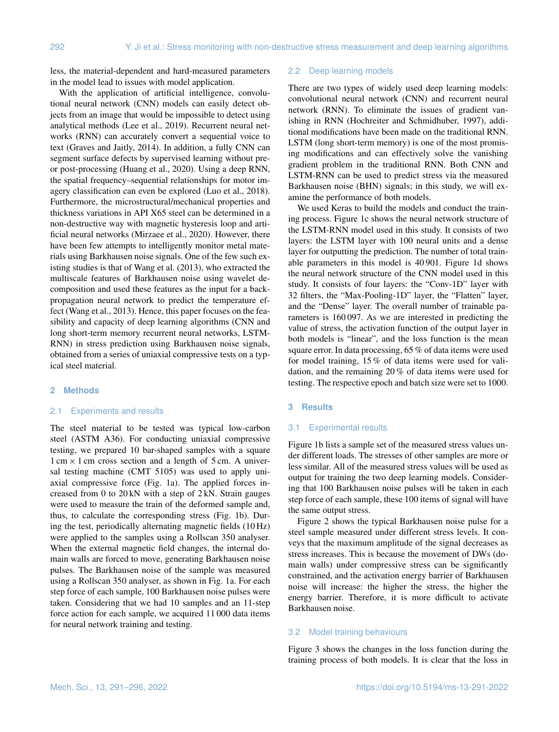less, the material-dependent and hard-measured parameters in the model lead to issues with model application.

With the application of artificial intelligence, convolutional neural network (CNN) models can easily detect objects from an image that would be impossible to detect using analytical methods (Lee et al., 2019). Recurrent neural networks (RNN) can accurately convert a sequential voice to text (Graves and Jaitly, 2014). In addition, a fully CNN can segment surface defects by supervised learning without preor post-processing (Huang et al., 2020). Using a deep RNN, the spatial frequency–sequential relationships for motor imagery classification can even be explored (Luo et al., 2018). Furthermore, the microstructural/mechanical properties and thickness variations in API X65 steel can be determined in a non-destructive way with magnetic hysteresis loop and artificial neural networks (Mirzaee et al., 2020). However, there have been few attempts to intelligently monitor metal materials using Barkhausen noise signals. One of the few such existing studies is that of Wang et al. (2013), who extracted the multiscale features of Barkhausen noise using wavelet decomposition and used these features as the input for a backpropagation neural network to predict the temperature effect (Wang et al., 2013). Hence, this paper focuses on the feasibility and capacity of deep learning algorithms (CNN and long short-term memory recurrent neural networks, LSTM-RNN) in stress prediction using Barkhausen noise signals, obtained from a series of uniaxial compressive tests on a typical steel material.

## **2 Methods**

### 2.1 Experiments and results

The steel material to be tested was typical low-carbon steel (ASTM A36). For conducting uniaxial compressive testing, we prepared 10 bar-shaped samples with a square  $1 \text{ cm} \times 1 \text{ cm}$  cross section and a length of 5 cm. A universal testing machine (CMT 5105) was used to apply uniaxial compressive force (Fig. 1a). The applied forces increased from 0 to 20 kN with a step of 2 kN. Strain gauges were used to measure the train of the deformed sample and, thus, to calculate the corresponding stress (Fig. 1b). During the test, periodically alternating magnetic fields (10 Hz) were applied to the samples using a Rollscan 350 analyser. When the external magnetic field changes, the internal domain walls are forced to move, generating Barkhausen noise pulses. The Barkhausen noise of the sample was measured using a Rollscan 350 analyser, as shown in Fig. 1a. For each step force of each sample, 100 Barkhausen noise pulses were taken. Considering that we had 10 samples and an 11-step force action for each sample, we acquired 11 000 data items for neural network training and testing.

#### 2.2 Deep learning models

There are two types of widely used deep learning models: convolutional neural network (CNN) and recurrent neural network (RNN). To eliminate the issues of gradient vanishing in RNN (Hochreiter and Schmidhuber, 1997), additional modifications have been made on the traditional RNN. LSTM (long short-term memory) is one of the most promising modifications and can effectively solve the vanishing gradient problem in the traditional RNN. Both CNN and LSTM-RNN can be used to predict stress via the measured Barkhausen noise (BHN) signals; in this study, we will examine the performance of both models.

We used Keras to build the models and conduct the training process. Figure 1c shows the neural network structure of the LSTM-RNN model used in this study. It consists of two layers: the LSTM layer with 100 neural units and a dense layer for outputting the prediction. The number of total trainable parameters in this model is 40 901. Figure 1d shows the neural network structure of the CNN model used in this study. It consists of four layers: the "Conv-1D" layer with 32 filters, the "Max-Pooling-1D" layer, the "Flatten" layer, and the "Dense" layer. The overall number of trainable parameters is 160 097. As we are interested in predicting the value of stress, the activation function of the output layer in both models is "linear", and the loss function is the mean square error. In data processing, 65 % of data items were used for model training, 15 % of data items were used for validation, and the remaining 20 % of data items were used for testing. The respective epoch and batch size were set to 1000.

## **3 Results**

#### 3.1 Experimental results

Figure 1b lists a sample set of the measured stress values under different loads. The stresses of other samples are more or less similar. All of the measured stress values will be used as output for training the two deep learning models. Considering that 100 Barkhausen noise pulses will be taken in each step force of each sample, these 100 items of signal will have the same output stress.

Figure 2 shows the typical Barkhausen noise pulse for a steel sample measured under different stress levels. It conveys that the maximum amplitude of the signal decreases as stress increases. This is because the movement of DWs (domain walls) under compressive stress can be significantly constrained, and the activation energy barrier of Barkhausen noise will increase: the higher the stress, the higher the energy barrier. Therefore, it is more difficult to activate Barkhausen noise.

## 3.2 Model training behaviours

Figure 3 shows the changes in the loss function during the training process of both models. It is clear that the loss in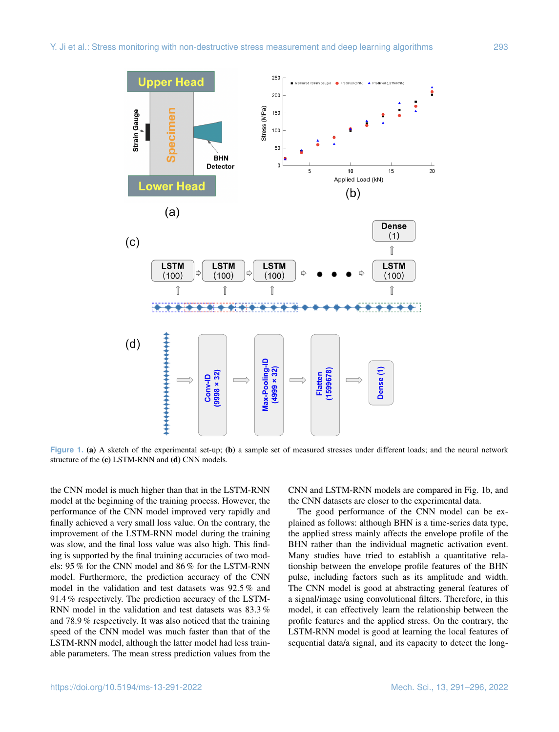

**Figure 1.** (a) A sketch of the experimental set-up; (b) a sample set of measured stresses under different loads; and the neural network structure of the (c) LSTM-RNN and (d) CNN models.

the CNN model is much higher than that in the LSTM-RNN model at the beginning of the training process. However, the performance of the CNN model improved very rapidly and finally achieved a very small loss value. On the contrary, the improvement of the LSTM-RNN model during the training was slow, and the final loss value was also high. This finding is supported by the final training accuracies of two models: 95 % for the CNN model and 86 % for the LSTM-RNN model. Furthermore, the prediction accuracy of the CNN model in the validation and test datasets was 92.5 % and 91.4 % respectively. The prediction accuracy of the LSTM-RNN model in the validation and test datasets was 83.3 % and 78.9 % respectively. It was also noticed that the training speed of the CNN model was much faster than that of the LSTM-RNN model, although the latter model had less trainable parameters. The mean stress prediction values from the CNN and LSTM-RNN models are compared in Fig. 1b, and the CNN datasets are closer to the experimental data.

The good performance of the CNN model can be explained as follows: although BHN is a time-series data type, the applied stress mainly affects the envelope profile of the BHN rather than the individual magnetic activation event. Many studies have tried to establish a quantitative relationship between the envelope profile features of the BHN pulse, including factors such as its amplitude and width. The CNN model is good at abstracting general features of a signal/image using convolutional filters. Therefore, in this model, it can effectively learn the relationship between the profile features and the applied stress. On the contrary, the LSTM-RNN model is good at learning the local features of sequential data/a signal, and its capacity to detect the long-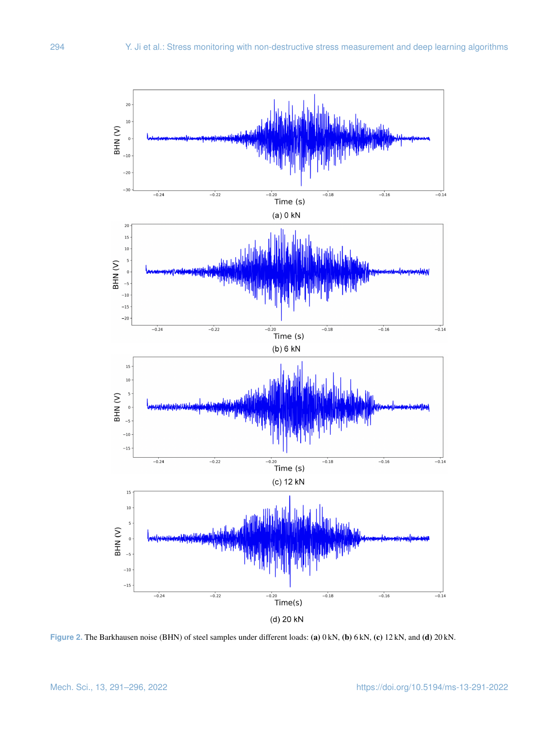

**Figure 2.** The Barkhausen noise (BHN) of steel samples under different loads: (a) 0 kN, (b) 6 kN, (c) 12 kN, and (d) 20 kN.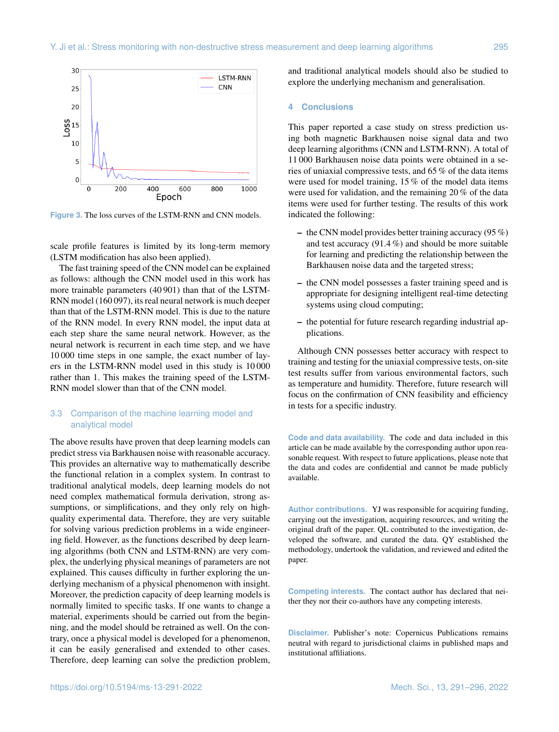

**Figure 3.** The loss curves of the LSTM-RNN and CNN models.

scale profile features is limited by its long-term memory (LSTM modification has also been applied).

The fast training speed of the CNN model can be explained as follows: although the CNN model used in this work has more trainable parameters (40 901) than that of the LSTM-RNN model (160 097), its real neural network is much deeper than that of the LSTM-RNN model. This is due to the nature of the RNN model. In every RNN model, the input data at each step share the same neural network. However, as the neural network is recurrent in each time step, and we have 10 000 time steps in one sample, the exact number of layers in the LSTM-RNN model used in this study is 10 000 rather than 1. This makes the training speed of the LSTM-RNN model slower than that of the CNN model.

## 3.3 Comparison of the machine learning model and analytical model

The above results have proven that deep learning models can predict stress via Barkhausen noise with reasonable accuracy. This provides an alternative way to mathematically describe the functional relation in a complex system. In contrast to traditional analytical models, deep learning models do not need complex mathematical formula derivation, strong assumptions, or simplifications, and they only rely on highquality experimental data. Therefore, they are very suitable for solving various prediction problems in a wide engineering field. However, as the functions described by deep learning algorithms (both CNN and LSTM-RNN) are very complex, the underlying physical meanings of parameters are not explained. This causes difficulty in further exploring the underlying mechanism of a physical phenomenon with insight. Moreover, the prediction capacity of deep learning models is normally limited to specific tasks. If one wants to change a material, experiments should be carried out from the beginning, and the model should be retrained as well. On the contrary, once a physical model is developed for a phenomenon, it can be easily generalised and extended to other cases. Therefore, deep learning can solve the prediction problem,

and traditional analytical models should also be studied to explore the underlying mechanism and generalisation.

#### **4 Conclusions**

This paper reported a case study on stress prediction using both magnetic Barkhausen noise signal data and two deep learning algorithms (CNN and LSTM-RNN). A total of 11 000 Barkhausen noise data points were obtained in a series of uniaxial compressive tests, and 65 % of the data items were used for model training, 15 % of the model data items were used for validation, and the remaining 20 % of the data items were used for further testing. The results of this work indicated the following:

- the CNN model provides better training accuracy (95 %) and test accuracy (91.4 %) and should be more suitable for learning and predicting the relationship between the Barkhausen noise data and the targeted stress;
- the CNN model possesses a faster training speed and is appropriate for designing intelligent real-time detecting systems using cloud computing;
- the potential for future research regarding industrial applications.

Although CNN possesses better accuracy with respect to training and testing for the uniaxial compressive tests, on-site test results suffer from various environmental factors, such as temperature and humidity. Therefore, future research will focus on the confirmation of CNN feasibility and efficiency in tests for a specific industry.

**Code and data availability.** The code and data included in this article can be made available by the corresponding author upon reasonable request. With respect to future applications, please note that the data and codes are confidential and cannot be made publicly available.

**Author contributions.** YJ was responsible for acquiring funding, carrying out the investigation, acquiring resources, and writing the original draft of the paper. QL contributed to the investigation, developed the software, and curated the data. QY established the methodology, undertook the validation, and reviewed and edited the paper.

**Competing interests.** The contact author has declared that neither they nor their co-authors have any competing interests.

**Disclaimer.** Publisher's note: Copernicus Publications remains neutral with regard to jurisdictional claims in published maps and institutional affiliations.